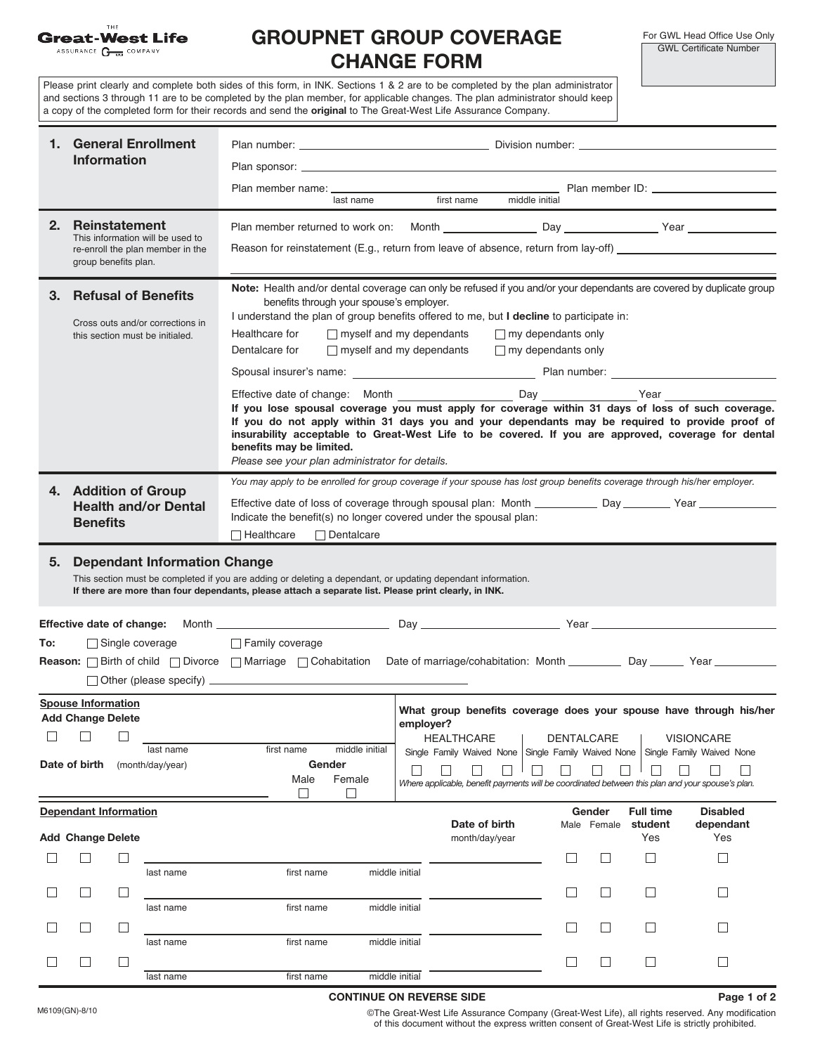|        | THE<br><b>Great-West Life</b><br>ASSURANCE <b>G</b> <sub>100</sub> COMPANY                                                               | <b>GROUPNET GROUP COVERAGE</b><br><b>CHANGE FORM</b>                                                                                                                                                                                                                                                                                                                                                                            | For GWL Head Office Use Only<br><b>GWL Certificate Number</b>                                                                      |                                       |                                                                                                                                                                                          |  |  |
|--------|------------------------------------------------------------------------------------------------------------------------------------------|---------------------------------------------------------------------------------------------------------------------------------------------------------------------------------------------------------------------------------------------------------------------------------------------------------------------------------------------------------------------------------------------------------------------------------|------------------------------------------------------------------------------------------------------------------------------------|---------------------------------------|------------------------------------------------------------------------------------------------------------------------------------------------------------------------------------------|--|--|
|        |                                                                                                                                          | Please print clearly and complete both sides of this form, in INK. Sections 1 & 2 are to be completed by the plan administrator<br>and sections 3 through 11 are to be completed by the plan member, for applicable changes. The plan administrator should keep<br>a copy of the completed form for their records and send the original to The Great-West Life Assurance Company.                                               |                                                                                                                                    |                                       |                                                                                                                                                                                          |  |  |
|        | 1. General Enrollment<br><b>Information</b>                                                                                              |                                                                                                                                                                                                                                                                                                                                                                                                                                 |                                                                                                                                    |                                       |                                                                                                                                                                                          |  |  |
|        |                                                                                                                                          | Plan member name: 10: 13 ast name 10: 13 ast name 10: 13 ast name 10: 13 ast name 10: 13 ast name 1 and 13 ast name 1 and 13 ast name 1 and 13 ast name 1 and 13 and 13 and 13 and 13 and 13 and 13 and 13 and 13 and 13 and 1                                                                                                                                                                                                  |                                                                                                                                    |                                       |                                                                                                                                                                                          |  |  |
| 2.     | <b>Reinstatement</b><br>This information will be used to<br>re-enroll the plan member in the<br>group benefits plan.                     | Reason for reinstatement (E.g., return from leave of absence, return from lay-off)                                                                                                                                                                                                                                                                                                                                              |                                                                                                                                    |                                       |                                                                                                                                                                                          |  |  |
| З.     | <b>Refusal of Benefits</b><br>Cross outs and/or corrections in<br>this section must be initialed.                                        | Note: Health and/or dental coverage can only be refused if you and/or your dependants are covered by duplicate group<br>benefits through your spouse's employer.<br>I understand the plan of group benefits offered to me, but I decline to participate in:<br>$\Box$ myself and my dependants<br>$\Box$ my dependants only<br>Healthcare for<br>Dentalcare for<br>$\Box$ myself and my dependants<br>$\Box$ my dependants only |                                                                                                                                    |                                       |                                                                                                                                                                                          |  |  |
|        |                                                                                                                                          |                                                                                                                                                                                                                                                                                                                                                                                                                                 |                                                                                                                                    |                                       |                                                                                                                                                                                          |  |  |
|        |                                                                                                                                          | If you lose spousal coverage you must apply for coverage within 31 days of loss of such coverage.<br>If you do not apply within 31 days you and your dependants may be required to provide proof of<br>insurability acceptable to Great-West Life to be covered. If you are approved, coverage for dental<br>benefits may be limited.<br>Please see your plan administrator for details.                                        |                                                                                                                                    |                                       |                                                                                                                                                                                          |  |  |
|        | 4. Addition of Group<br><b>Health and/or Dental</b><br><b>Benefits</b>                                                                   | You may apply to be enrolled for group coverage if your spouse has lost group benefits coverage through his/her employer.<br>Effective date of loss of coverage through spousal plan: Month ___________ Day _______ Year ________                                                                                                                                                                                               |                                                                                                                                    |                                       |                                                                                                                                                                                          |  |  |
| 5.     | <b>Dependant Information Change</b>                                                                                                      | This section must be completed if you are adding or deleting a dependant, or updating dependant information.<br>If there are more than four dependants, please attach a separate list. Please print clearly, in INK.                                                                                                                                                                                                            |                                                                                                                                    |                                       |                                                                                                                                                                                          |  |  |
|        | <b>Effective date of change:</b> Month __                                                                                                |                                                                                                                                                                                                                                                                                                                                                                                                                                 | Day                                                                                                                                | Year                                  |                                                                                                                                                                                          |  |  |
| To:    | Single coverage                                                                                                                          | Family coverage<br><b>Reason:</b> Sirth of child $\Box$ Divorce $\Box$ Marriage $\Box$ Cohabitation                                                                                                                                                                                                                                                                                                                             |                                                                                                                                    |                                       |                                                                                                                                                                                          |  |  |
| $\Box$ | <b>Spouse Information</b><br><b>Add Change Delete</b><br>$\overline{\phantom{a}}$<br>ш<br>last name<br>Date of birth<br>(month/day/year) | first name<br>middle initial<br>Gender<br>Male<br>Female                                                                                                                                                                                                                                                                                                                                                                        | employer?<br><b>HEALTHCARE</b><br>Where applicable, benefit payments will be coordinated between this plan and your spouse's plan. | <b>DENTALCARE</b>                     | What group benefits coverage does your spouse have through his/her<br><b>VISIONCARE</b><br>Single Family Waived None Single Family Waived None Single Family Waived None<br>$\mathbf{I}$ |  |  |
|        | <b>Dependant Information</b><br><b>Add Change Delete</b>                                                                                 |                                                                                                                                                                                                                                                                                                                                                                                                                                 | Date of birth<br>month/day/year                                                                                                    | Gender<br>Male Female<br>$\mathbf{L}$ | <b>Disabled</b><br><b>Full time</b><br>student<br>dependant<br>Yes<br>Yes<br>$\vert \ \ \vert$<br>$\perp$                                                                                |  |  |
|        | last name                                                                                                                                | first name                                                                                                                                                                                                                                                                                                                                                                                                                      | middle initial                                                                                                                     |                                       |                                                                                                                                                                                          |  |  |

last name first name middle initial

last name first name middle initial

last name first name middle initial

 $\Box$ 

 $\Box$ 

 $\Box$ 

 $\Box$ 

 $\Box$ 

 $\Box$ 

 $\Box$ 

 $\Box$ 

 $\hfill \square$ 

**Page 1 of 2**

 $\Box$ 

 $\Box$ 

 $\Box$ 

M6109(GN)-8/10

 $\Box$ 

 $\Box$ 

 $\Box$ 

 $\Box$ 

 $\Box$ 

 $\Box$ 

 $\Box$ 

 $\Box$ 

 $\Box$ 

**CONTINUE ON REVERSE SIDE**